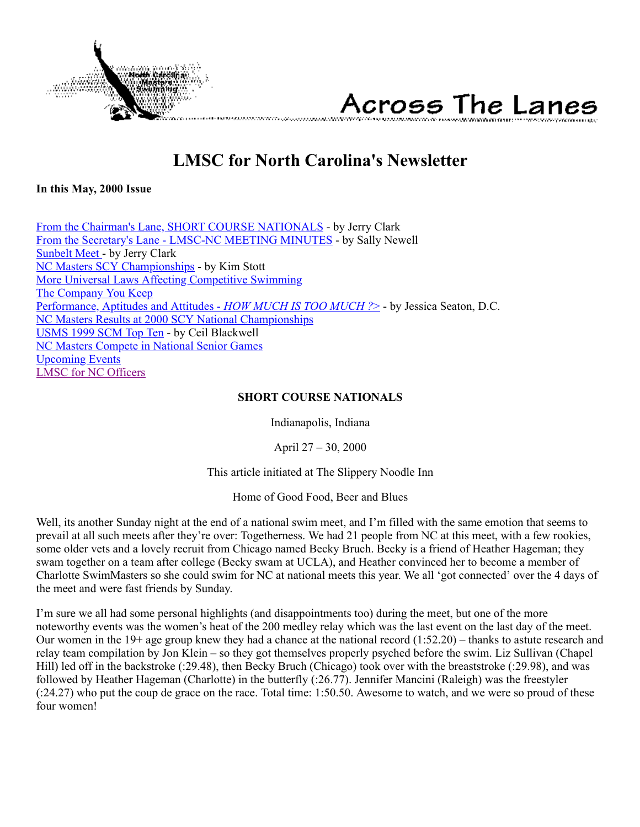<span id="page-0-1"></span>

Across The Lanes

# **LMSC for North Carolina's Newsletter**

**In this May, 2000 Issue**

[From the Chairman's Lane, SHORT COURSE NATIONALS](#page-0-0) - by Jerry Clark [From the Secretary's Lane - LMSC-NC MEETING MINUTES](#page-2-0) - by Sally Newell [Sunbelt Meet -](#page-3-0) by Jerry Clark [NC Masters SCY Championships](#page-4-0) - by Kim Stott [More Universal Laws Affecting Competitive Swimming](#page-4-1) [The Company You Keep](#page-5-0) [Performance, Aptitudes and Attitudes -](#page-5-1) *HOW MUCH IS TOO MUCH ?*> - by Jessica Seaton, D.C. [NC Masters Results at 2000 SCY National Championships](#page-7-0) [USMS 1999 SCM Top Ten](#page-8-0) - by Ceil Blackwell [NC Masters Compete in National Senior Games](#page-11-0) [Upcoming Events](#page-12-0) [LMSC for NC Officers](#page-13-0)

#### <span id="page-0-0"></span>**SHORT COURSE NATIONALS**

Indianapolis, Indiana

April 27 – 30, 2000

This article initiated at The Slippery Noodle Inn

Home of Good Food, Beer and Blues

Well, its another Sunday night at the end of a national swim meet, and I'm filled with the same emotion that seems to prevail at all such meets after they're over: Togetherness. We had 21 people from NC at this meet, with a few rookies, some older vets and a lovely recruit from Chicago named Becky Bruch. Becky is a friend of Heather Hageman; they swam together on a team after college (Becky swam at UCLA), and Heather convinced her to become a member of Charlotte SwimMasters so she could swim for NC at national meets this year. We all 'got connected' over the 4 days of the meet and were fast friends by Sunday.

I'm sure we all had some personal highlights (and disappointments too) during the meet, but one of the more noteworthy events was the women's heat of the 200 medley relay which was the last event on the last day of the meet. Our women in the  $19+$  age group knew they had a chance at the national record  $(1:52.20)$  – thanks to astute research and relay team compilation by Jon Klein – so they got themselves properly psyched before the swim. Liz Sullivan (Chapel Hill) led off in the backstroke (:29.48), then Becky Bruch (Chicago) took over with the breaststroke (:29.98), and was followed by Heather Hageman (Charlotte) in the butterfly (:26.77). Jennifer Mancini (Raleigh) was the freestyler (:24.27) who put the coup de grace on the race. Total time: 1:50.50. Awesome to watch, and we were so proud of these four women!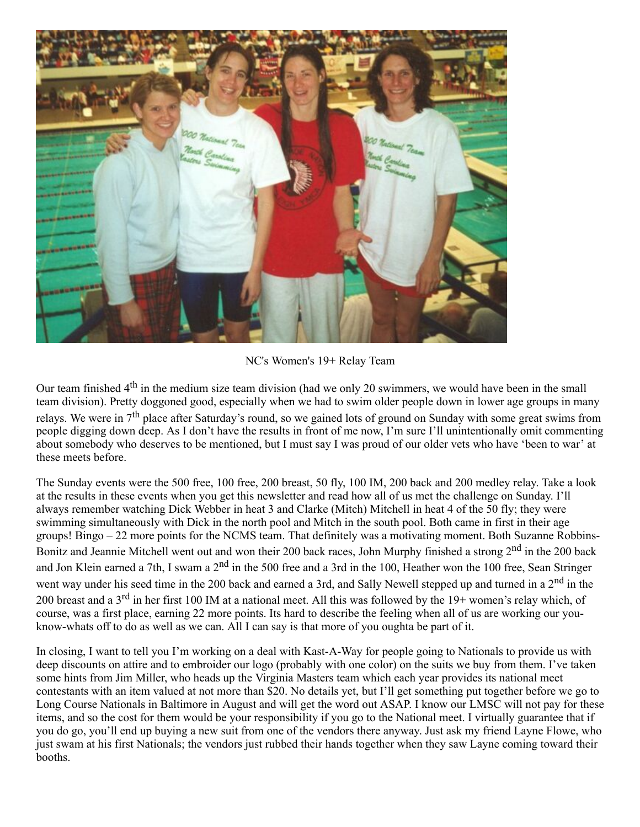

NC's Women's 19+ Relay Team

Our team finished  $4<sup>th</sup>$  in the medium size team division (had we only 20 swimmers, we would have been in the small team division). Pretty doggoned good, especially when we had to swim older people down in lower age groups in many relays. We were in  $7<sup>th</sup>$  place after Saturday's round, so we gained lots of ground on Sunday with some great swims from people digging down deep. As I don't have the results in front of me now, I'm sure I'll unintentionally omit commenting about somebody who deserves to be mentioned, but I must say I was proud of our older vets who have 'been to war' at these meets before.

The Sunday events were the 500 free, 100 free, 200 breast, 50 fly, 100 IM, 200 back and 200 medley relay. Take a look at the results in these events when you get this newsletter and read how all of us met the challenge on Sunday. I'll always remember watching Dick Webber in heat 3 and Clarke (Mitch) Mitchell in heat 4 of the 50 fly; they were swimming simultaneously with Dick in the north pool and Mitch in the south pool. Both came in first in their age groups! Bingo – 22 more points for the NCMS team. That definitely was a motivating moment. Both Suzanne Robbins-Bonitz and Jeannie Mitchell went out and won their 200 back races, John Murphy finished a strong 2<sup>nd</sup> in the 200 back and Jon Klein earned a 7th, I swam a 2<sup>nd</sup> in the 500 free and a 3rd in the 100, Heather won the 100 free, Sean Stringer went way under his seed time in the 200 back and earned a 3rd, and Sally Newell stepped up and turned in a 2<sup>nd</sup> in the 200 breast and a 3<sup>rd</sup> in her first 100 IM at a national meet. All this was followed by the 19+ women's relay which, of course, was a first place, earning 22 more points. Its hard to describe the feeling when all of us are working our youknow-whats off to do as well as we can. All I can say is that more of you oughta be part of it.

In closing, I want to tell you I'm working on a deal with Kast-A-Way for people going to Nationals to provide us with deep discounts on attire and to embroider our logo (probably with one color) on the suits we buy from them. I've taken some hints from Jim Miller, who heads up the Virginia Masters team which each year provides its national meet contestants with an item valued at not more than \$20. No details yet, but I'll get something put together before we go to Long Course Nationals in Baltimore in August and will get the word out ASAP. I know our LMSC will not pay for these items, and so the cost for them would be your responsibility if you go to the National meet. I virtually guarantee that if you do go, you'll end up buying a new suit from one of the vendors there anyway. Just ask my friend Layne Flowe, who just swam at his first Nationals; the vendors just rubbed their hands together when they saw Layne coming toward their booths.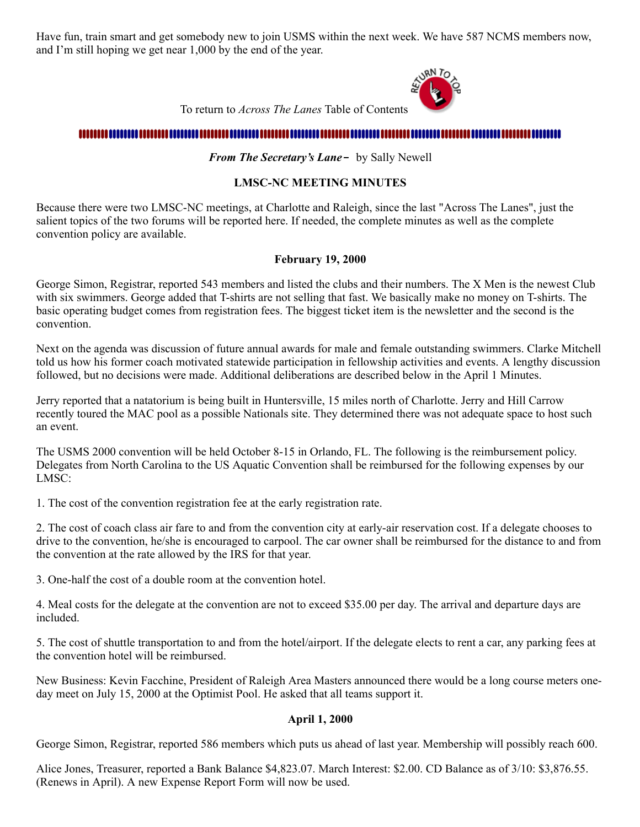Have fun, train smart and get somebody new to join USMS within the next week. We have 587 NCMS members now, and I'm still hoping we get near 1,000 by the end of the year.



To return to *Across The Lanes* Table of Contents

### 

#### <span id="page-2-0"></span>*From The Secretary's Lane-* by Sally Newell

#### **LMSC-NC MEETING MINUTES**

Because there were two LMSC-NC meetings, at Charlotte and Raleigh, since the last "Across The Lanes", just the salient topics of the two forums will be reported here. If needed, the complete minutes as well as the complete convention policy are available.

#### **February 19, 2000**

George Simon, Registrar, reported 543 members and listed the clubs and their numbers. The X Men is the newest Club with six swimmers. George added that T-shirts are not selling that fast. We basically make no money on T-shirts. The basic operating budget comes from registration fees. The biggest ticket item is the newsletter and the second is the convention.

Next on the agenda was discussion of future annual awards for male and female outstanding swimmers. Clarke Mitchell told us how his former coach motivated statewide participation in fellowship activities and events. A lengthy discussion followed, but no decisions were made. Additional deliberations are described below in the April 1 Minutes.

Jerry reported that a natatorium is being built in Huntersville, 15 miles north of Charlotte. Jerry and Hill Carrow recently toured the MAC pool as a possible Nationals site. They determined there was not adequate space to host such an event.

The USMS 2000 convention will be held October 8-15 in Orlando, FL. The following is the reimbursement policy. Delegates from North Carolina to the US Aquatic Convention shall be reimbursed for the following expenses by our LMSC:

1. The cost of the convention registration fee at the early registration rate.

2. The cost of coach class air fare to and from the convention city at early-air reservation cost. If a delegate chooses to drive to the convention, he/she is encouraged to carpool. The car owner shall be reimbursed for the distance to and from the convention at the rate allowed by the IRS for that year.

3. One-half the cost of a double room at the convention hotel.

4. Meal costs for the delegate at the convention are not to exceed \$35.00 per day. The arrival and departure days are included.

5. The cost of shuttle transportation to and from the hotel/airport. If the delegate elects to rent a car, any parking fees at the convention hotel will be reimbursed.

New Business: Kevin Facchine, President of Raleigh Area Masters announced there would be a long course meters oneday meet on July 15, 2000 at the Optimist Pool. He asked that all teams support it.

#### **April 1, 2000**

George Simon, Registrar, reported 586 members which puts us ahead of last year. Membership will possibly reach 600.

Alice Jones, Treasurer, reported a Bank Balance \$4,823.07. March Interest: \$2.00. CD Balance as of 3/10: \$3,876.55. (Renews in April). A new Expense Report Form will now be used.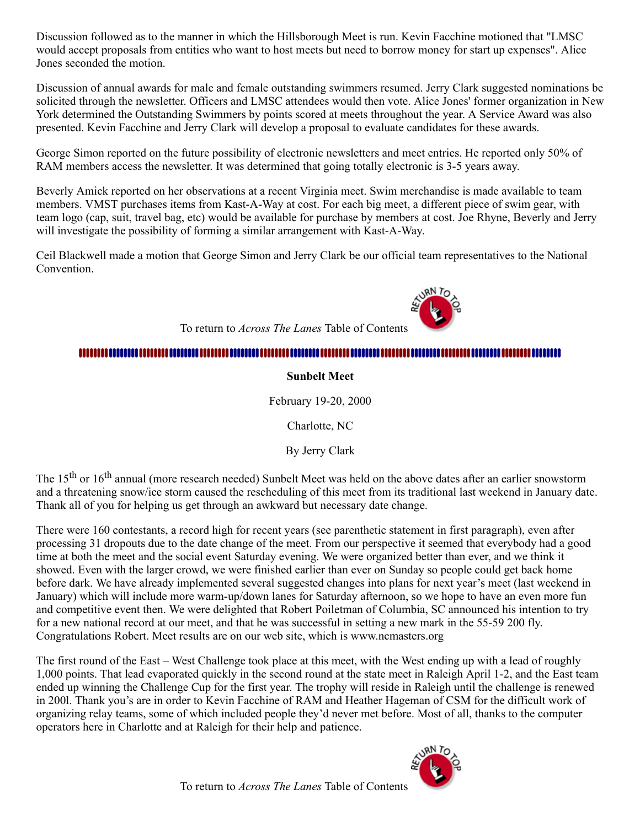Discussion followed as to the manner in which the Hillsborough Meet is run. Kevin Facchine motioned that "LMSC would accept proposals from entities who want to host meets but need to borrow money for start up expenses". Alice Jones seconded the motion.

Discussion of annual awards for male and female outstanding swimmers resumed. Jerry Clark suggested nominations be solicited through the newsletter. Officers and LMSC attendees would then vote. Alice Jones' former organization in New York determined the Outstanding Swimmers by points scored at meets throughout the year. A Service Award was also presented. Kevin Facchine and Jerry Clark will develop a proposal to evaluate candidates for these awards.

George Simon reported on the future possibility of electronic newsletters and meet entries. He reported only 50% of RAM members access the newsletter. It was determined that going totally electronic is 3-5 years away.

Beverly Amick reported on her observations at a recent Virginia meet. Swim merchandise is made available to team members. VMST purchases items from Kast-A-Way at cost. For each big meet, a different piece of swim gear, with team logo (cap, suit, travel bag, etc) would be available for purchase by members at cost. Joe Rhyne, Beverly and Jerry will investigate the possibility of forming a similar arrangement with Kast-A-Way.

Ceil Blackwell made a motion that George Simon and Jerry Clark be our official team representatives to the National **Convention** 

To return to *Across The Lanes* Table of Contents

### 

#### <span id="page-3-0"></span>**Sunbelt Meet**

February 19-20, 2000

Charlotte, NC

By Jerry Clark

The 15<sup>th</sup> or 16<sup>th</sup> annual (more research needed) Sunbelt Meet was held on the above dates after an earlier snowstorm and a threatening snow/ice storm caused the rescheduling of this meet from its traditional last weekend in January date. Thank all of you for helping us get through an awkward but necessary date change.

There were 160 contestants, a record high for recent years (see parenthetic statement in first paragraph), even after processing 31 dropouts due to the date change of the meet. From our perspective it seemed that everybody had a good time at both the meet and the social event Saturday evening. We were organized better than ever, and we think it showed. Even with the larger crowd, we were finished earlier than ever on Sunday so people could get back home before dark. We have already implemented several suggested changes into plans for next year's meet (last weekend in January) which will include more warm-up/down lanes for Saturday afternoon, so we hope to have an even more fun and competitive event then. We were delighted that Robert Poiletman of Columbia, SC announced his intention to try for a new national record at our meet, and that he was successful in setting a new mark in the 55-59 200 fly. Congratulations Robert. Meet results are on our web site, which is www.ncmasters.org

The first round of the East – West Challenge took place at this meet, with the West ending up with a lead of roughly 1,000 points. That lead evaporated quickly in the second round at the state meet in Raleigh April 1-2, and the East team ended up winning the Challenge Cup for the first year. The trophy will reside in Raleigh until the challenge is renewed in 200l. Thank you's are in order to Kevin Facchine of RAM and Heather Hageman of CSM for the difficult work of organizing relay teams, some of which included people they'd never met before. Most of all, thanks to the computer operators here in Charlotte and at Raleigh for their help and patience.



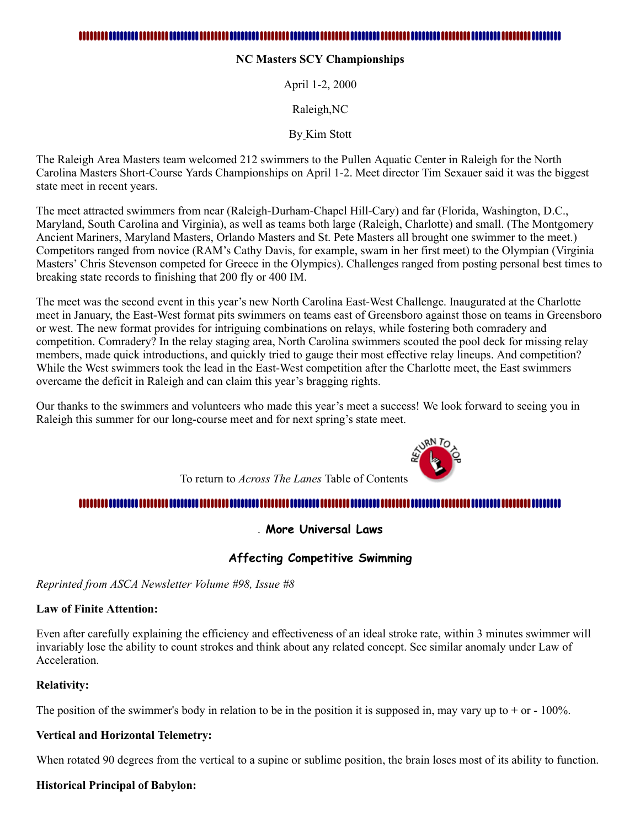<span id="page-4-0"></span>**NC Masters SCY Championships**

April 1-2, 2000

Raleigh,NC

By Kim Stott

The Raleigh Area Masters team welcomed 212 swimmers to the Pullen Aquatic Center in Raleigh for the North Carolina Masters Short-Course Yards Championships on April 1-2. Meet director Tim Sexauer said it was the biggest state meet in recent years.

The meet attracted swimmers from near (Raleigh-Durham-Chapel Hill-Cary) and far (Florida, Washington, D.C., Maryland, South Carolina and Virginia), as well as teams both large (Raleigh, Charlotte) and small. (The Montgomery Ancient Mariners, Maryland Masters, Orlando Masters and St. Pete Masters all brought one swimmer to the meet.) Competitors ranged from novice (RAM's Cathy Davis, for example, swam in her first meet) to the Olympian (Virginia Masters' Chris Stevenson competed for Greece in the Olympics). Challenges ranged from posting personal best times to breaking state records to finishing that 200 fly or 400 IM.

The meet was the second event in this year's new North Carolina East-West Challenge. Inaugurated at the Charlotte meet in January, the East-West format pits swimmers on teams east of Greensboro against those on teams in Greensboro or west. The new format provides for intriguing combinations on relays, while fostering both comradery and competition. Comradery? In the relay staging area, North Carolina swimmers scouted the pool deck for missing relay members, made quick introductions, and quickly tried to gauge their most effective relay lineups. And competition? While the West swimmers took the lead in the East-West competition after the Charlotte meet, the East swimmers overcame the deficit in Raleigh and can claim this year's bragging rights.

Our thanks to the swimmers and volunteers who made this year's meet a success! We look forward to seeing you in Raleigh this summer for our long-course meet and for next spring's state meet.



To return to *Across The Lanes* Table of Contents

### 

<span id="page-4-1"></span>. **More Universal Laws**

### **Affecting Competitive Swimming**

*Reprinted from ASCA Newsletter Volume #98, Issue #8*

#### **Law of Finite Attention:**

Even after carefully explaining the efficiency and effectiveness of an ideal stroke rate, within 3 minutes swimmer will invariably lose the ability to count strokes and think about any related concept. See similar anomaly under Law of **Acceleration** 

#### **Relativity:**

The position of the swimmer's body in relation to be in the position it is supposed in, may vary up to  $+$  or  $-$  100%.

#### **Vertical and Horizontal Telemetry:**

When rotated 90 degrees from the vertical to a supine or sublime position, the brain loses most of its ability to function.

#### **Historical Principal of Babylon:**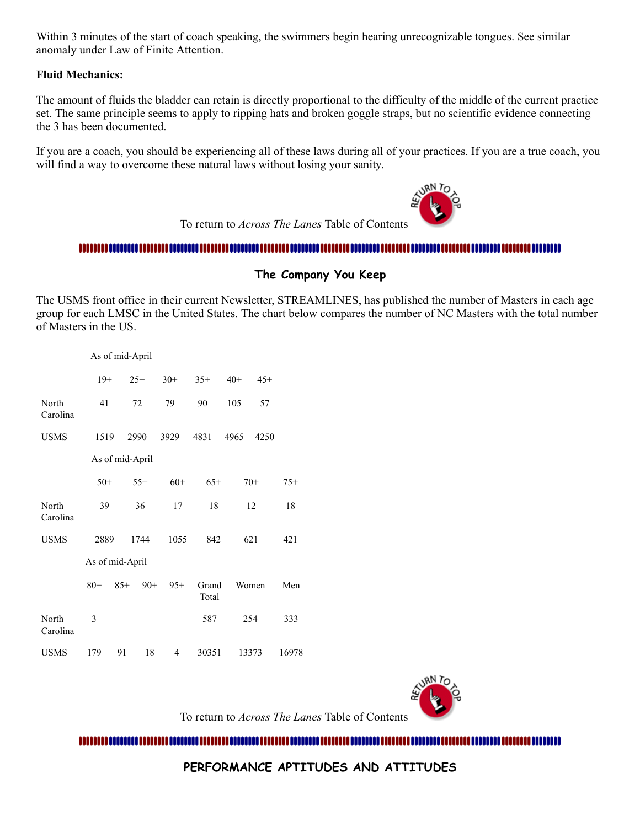Within 3 minutes of the start of coach speaking, the swimmers begin hearing unrecognizable tongues. See similar anomaly under Law of Finite Attention.

#### **Fluid Mechanics:**

The amount of fluids the bladder can retain is directly proportional to the difficulty of the middle of the current practice set. The same principle seems to apply to ripping hats and broken goggle straps, but no scientific evidence connecting the 3 has been documented.

If you are a coach, you should be experiencing all of these laws during all of your practices. If you are a true coach, you will find a way to overcome these natural laws without losing your sanity.



To return to *Across The Lanes* Table of Contents

#### 

#### <span id="page-5-0"></span>**The Company You Keep**

The USMS front office in their current Newsletter, STREAMLINES, has published the number of Masters in each age group for each LMSC in the United States. The chart below compares the number of NC Masters with the total number of Masters in the US.

|                   |       | As of mid-April |       |       |                |       |       |       |
|-------------------|-------|-----------------|-------|-------|----------------|-------|-------|-------|
|                   | $19+$ |                 | $25+$ | $30+$ | $35+$          | $40+$ | $45+$ |       |
| North<br>Carolina | 41    |                 | 72    | 79    | 90             | 105   | 57    |       |
| <b>USMS</b>       | 1519  |                 | 2990  | 3929  | 4831           | 4965  | 4250  |       |
|                   |       | As of mid-April |       |       |                |       |       |       |
|                   | $50+$ |                 | $55+$ | $60+$ | $65+$          |       | $70+$ | $75+$ |
| North<br>Carolina | 39    |                 | 36    | 17    | 18             |       | 12    | 18    |
| <b>USMS</b>       | 2889  |                 | 1744  | 1055  | 842            |       | 621   | 421   |
| As of mid-April   |       |                 |       |       |                |       |       |       |
|                   | $80+$ | $85+$           | $90+$ | $95+$ | Grand<br>Total |       | Women | Men   |
| North<br>Carolina | 3     |                 |       |       | 587            |       | 254   | 333   |
| <b>USMS</b>       | 179   | 91              | 18    | 4     | 30351          |       | 13373 | 16978 |



To return to *Across The Lanes* Table of Contents

<span id="page-5-1"></span>**PERFORMANCE APTITUDES AND ATTITUDES**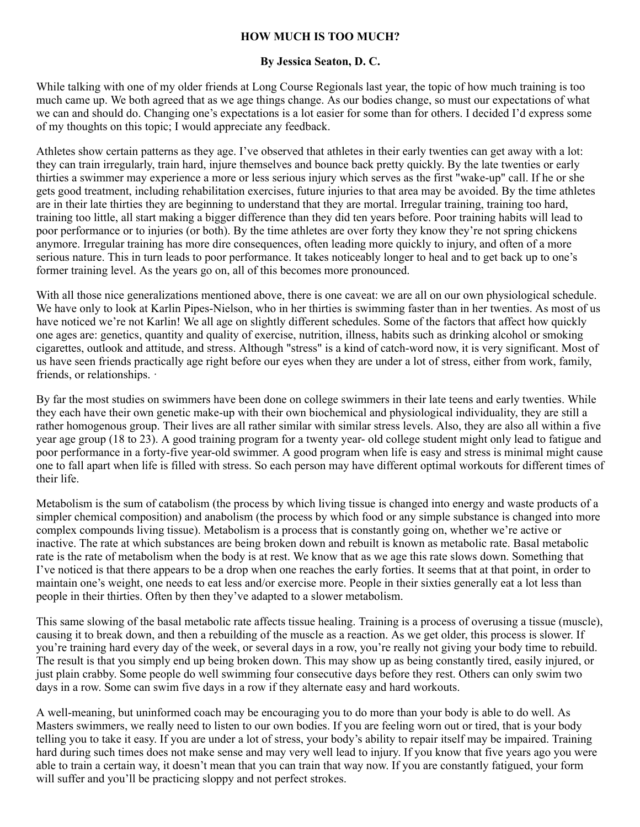#### **HOW MUCH IS TOO MUCH?**

#### **By Jessica Seaton, D. C.**

While talking with one of my older friends at Long Course Regionals last year, the topic of how much training is too much came up. We both agreed that as we age things change. As our bodies change, so must our expectations of what we can and should do. Changing one's expectations is a lot easier for some than for others. I decided I'd express some of my thoughts on this topic; I would appreciate any feedback.

Athletes show certain patterns as they age. I've observed that athletes in their early twenties can get away with a lot: they can train irregularly, train hard, injure themselves and bounce back pretty quickly. By the late twenties or early thirties a swimmer may experience a more or less serious injury which serves as the first "wake-up" call. If he or she gets good treatment, including rehabilitation exercises, future injuries to that area may be avoided. By the time athletes are in their late thirties they are beginning to understand that they are mortal. Irregular training, training too hard, training too little, all start making a bigger difference than they did ten years before. Poor training habits will lead to poor performance or to injuries (or both). By the time athletes are over forty they know they're not spring chickens anymore. Irregular training has more dire consequences, often leading more quickly to injury, and often of a more serious nature. This in turn leads to poor performance. It takes noticeably longer to heal and to get back up to one's former training level. As the years go on, all of this becomes more pronounced.

With all those nice generalizations mentioned above, there is one caveat: we are all on our own physiological schedule. We have only to look at Karlin Pipes-Nielson, who in her thirties is swimming faster than in her twenties. As most of us have noticed we're not Karlin! We all age on slightly different schedules. Some of the factors that affect how quickly one ages are: genetics, quantity and quality of exercise, nutrition, illness, habits such as drinking alcohol or smoking cigarettes, outlook and attitude, and stress. Although "stress" is a kind of catch-word now, it is very significant. Most of us have seen friends practically age right before our eyes when they are under a lot of stress, either from work, family, friends, or relationships. ·

By far the most studies on swimmers have been done on college swimmers in their late teens and early twenties. While they each have their own genetic make-up with their own biochemical and physiological individuality, they are still a rather homogenous group. Their lives are all rather similar with similar stress levels. Also, they are also all within a five year age group (18 to 23). A good training program for a twenty year- old college student might only lead to fatigue and poor performance in a forty-five year-old swimmer. A good program when life is easy and stress is minimal might cause one to fall apart when life is filled with stress. So each person may have different optimal workouts for different times of their life.

Metabolism is the sum of catabolism (the process by which living tissue is changed into energy and waste products of a simpler chemical composition) and anabolism (the process by which food or any simple substance is changed into more complex compounds living tissue). Metabolism is a process that is constantly going on, whether we're active or inactive. The rate at which substances are being broken down and rebuilt is known as metabolic rate. Basal metabolic rate is the rate of metabolism when the body is at rest. We know that as we age this rate slows down. Something that I've noticed is that there appears to be a drop when one reaches the early forties. It seems that at that point, in order to maintain one's weight, one needs to eat less and/or exercise more. People in their sixties generally eat a lot less than people in their thirties. Often by then they've adapted to a slower metabolism.

This same slowing of the basal metabolic rate affects tissue healing. Training is a process of overusing a tissue (muscle), causing it to break down, and then a rebuilding of the muscle as a reaction. As we get older, this process is slower. If you're training hard every day of the week, or several days in a row, you're really not giving your body time to rebuild. The result is that you simply end up being broken down. This may show up as being constantly tired, easily injured, or just plain crabby. Some people do well swimming four consecutive days before they rest. Others can only swim two days in a row. Some can swim five days in a row if they alternate easy and hard workouts.

A well-meaning, but uninformed coach may be encouraging you to do more than your body is able to do well. As Masters swimmers, we really need to listen to our own bodies. If you are feeling worn out or tired, that is your body telling you to take it easy. If you are under a lot of stress, your body's ability to repair itself may be impaired. Training hard during such times does not make sense and may very well lead to injury. If you know that five years ago you were able to train a certain way, it doesn't mean that you can train that way now. If you are constantly fatigued, your form will suffer and you'll be practicing sloppy and not perfect strokes.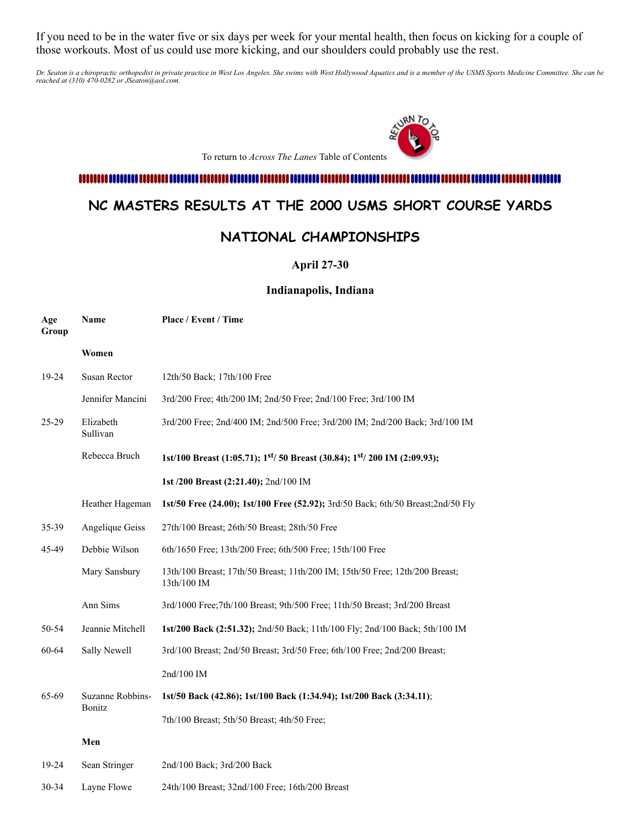If you need to be in the water five or six days per week for your mental health, then focus on kicking for a couple of those workouts. Most of us could use more kicking, and our shoulders could probably use the rest.

Dr. Seaton is a chiropractic orthopedist in private practice in West Los Angeles. She swims with West Hollywood Aquatics and is a member of the USMS Sports Medicine Committee. She can be<br>reached at (310) 470-0282 or JSeato



### 

## <span id="page-7-0"></span>**NC MASTERS RESULTS AT THE 2000 USMS SHORT COURSE YARDS**

## **NATIONAL CHAMPIONSHIPS**

**April 27-30**

#### **Indianapolis, Indiana**

| Age<br>Group | Name                  | Place / Event / Time                                                                               |
|--------------|-----------------------|----------------------------------------------------------------------------------------------------|
|              | Women                 |                                                                                                    |
| 19-24        | Susan Rector          | 12th/50 Back; 17th/100 Free                                                                        |
|              | Jennifer Mancini      | 3rd/200 Free; 4th/200 IM; 2nd/50 Free; 2nd/100 Free; 3rd/100 IM                                    |
| $25-29$      | Elizabeth<br>Sullivan | 3rd/200 Free; 2nd/400 IM; 2nd/500 Free; 3rd/200 IM; 2nd/200 Back; 3rd/100 IM                       |
|              | Rebecca Bruch         | 1st/100 Breast (1:05.71); 1 <sup>st</sup> / 50 Breast (30.84); 1 <sup>st</sup> / 200 IM (2:09.93); |
|              |                       | 1st /200 Breast (2:21.40); 2nd/100 IM                                                              |
|              | Heather Hageman       | 1st/50 Free (24.00); 1st/100 Free (52.92); 3rd/50 Back; 6th/50 Breast; 2nd/50 Fly                  |
| 35-39        | Angelique Geiss       | 27th/100 Breast; 26th/50 Breast; 28th/50 Free                                                      |
| 45-49        | Debbie Wilson         | 6th/1650 Free; 13th/200 Free; 6th/500 Free; 15th/100 Free                                          |
|              | Mary Sansbury         | 13th/100 Breast; 17th/50 Breast; 11th/200 IM; 15th/50 Free; 12th/200 Breast;<br>13th/100 IM        |
|              | Ann Sims              | 3rd/1000 Free;7th/100 Breast; 9th/500 Free; 11th/50 Breast; 3rd/200 Breast                         |
| 50-54        | Jeannie Mitchell      | 1st/200 Back (2:51.32); 2nd/50 Back; 11th/100 Fly; 2nd/100 Back; 5th/100 IM                        |
| 60-64        | Sally Newell          | 3rd/100 Breast; 2nd/50 Breast; 3rd/50 Free; 6th/100 Free; 2nd/200 Breast;                          |
|              |                       | 2nd/100 IM                                                                                         |
| 65-69        | Suzanne Robbins-      | 1st/50 Back (42.86); 1st/100 Back (1:34.94); 1st/200 Back (3:34.11);                               |
|              | Bonitz                | 7th/100 Breast; 5th/50 Breast; 4th/50 Free;                                                        |
|              | Men                   |                                                                                                    |
| 19-24        | Sean Stringer         | 2nd/100 Back; 3rd/200 Back                                                                         |
| $30 - 34$    | Lavne Flowe           | 24th/100 Breast; 32nd/100 Free; 16th/200 Breast                                                    |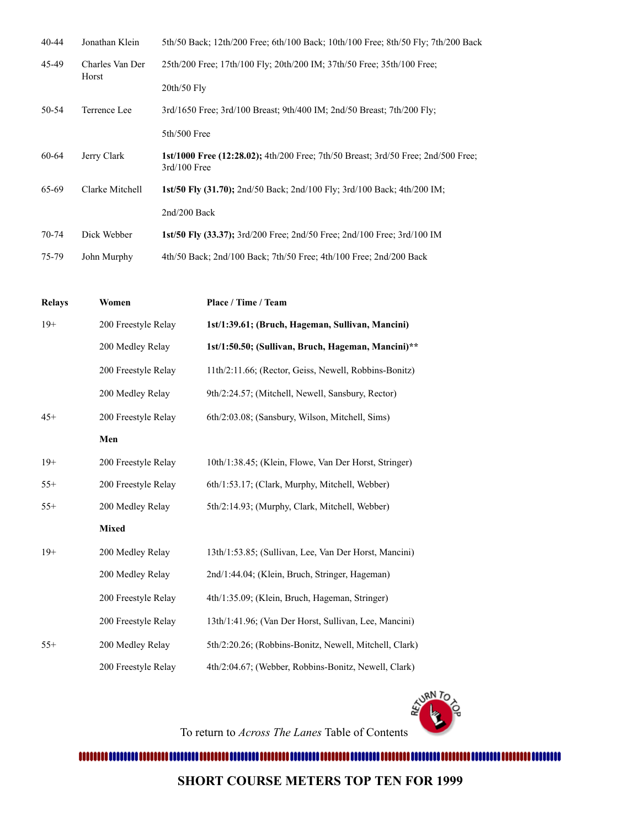| $40 - 44$ | Jonathan Klein           | 5th/50 Back; 12th/200 Free; 6th/100 Back; 10th/100 Free; 8th/50 Fly; 7th/200 Back                          |
|-----------|--------------------------|------------------------------------------------------------------------------------------------------------|
| 45-49     | Charles Van Der<br>Horst | 25th/200 Free: 17th/100 Fly: 20th/200 IM: 37th/50 Free: 35th/100 Free:                                     |
|           |                          | $20th/50$ Fly                                                                                              |
| 50-54     | Terrence Lee             | 3rd/1650 Free; 3rd/100 Breast; 9th/400 IM; 2nd/50 Breast; 7th/200 Fly;                                     |
|           |                          | $5th/500$ Free                                                                                             |
| 60-64     | Jerry Clark              | <b>1st/1000 Free (12:28.02);</b> 4th/200 Free: 7th/50 Breast: 3rd/50 Free: 2nd/500 Free:<br>$3rd/100$ Free |
| 65-69     | Clarke Mitchell          | <b>1st/50 Fly (31.70);</b> 2nd/50 Back; 2nd/100 Fly; 3rd/100 Back; 4th/200 IM;                             |
|           |                          | 2nd/200 Back                                                                                               |
| $70 - 74$ | Dick Webber              | <b>1st/50 Fly (33.37);</b> 3rd/200 Free; 2nd/50 Free; 2nd/100 Free; 3rd/100 IM                             |
| 75-79     | John Murphy              | 4th/50 Back; 2nd/100 Back; 7th/50 Free; 4th/100 Free; 2nd/200 Back                                         |

| <b>Relays</b> | Women               | Place / Time / Team                                    |
|---------------|---------------------|--------------------------------------------------------|
| $19+$         | 200 Freestyle Relay | 1st/1:39.61; (Bruch, Hageman, Sullivan, Mancini)       |
|               | 200 Medley Relay    | 1st/1:50.50; (Sullivan, Bruch, Hageman, Mancini)**     |
|               | 200 Freestyle Relay | 11th/2:11.66; (Rector, Geiss, Newell, Robbins-Bonitz)  |
|               | 200 Medley Relay    | 9th/2:24.57; (Mitchell, Newell, Sansbury, Rector)      |
| $45+$         | 200 Freestyle Relay | 6th/2:03.08; (Sansbury, Wilson, Mitchell, Sims)        |
|               | Men                 |                                                        |
| $19+$         | 200 Freestyle Relay | 10th/1:38.45; (Klein, Flowe, Van Der Horst, Stringer)  |
| $55+$         | 200 Freestyle Relay | 6th/1:53.17; (Clark, Murphy, Mitchell, Webber)         |
| $55+$         | 200 Medley Relay    | 5th/2:14.93; (Murphy, Clark, Mitchell, Webber)         |
|               | <b>Mixed</b>        |                                                        |
| $19+$         | 200 Medley Relay    | 13th/1:53.85; (Sullivan, Lee, Van Der Horst, Mancini)  |
|               | 200 Medley Relay    | 2nd/1:44.04; (Klein, Bruch, Stringer, Hageman)         |
|               | 200 Freestyle Relay | 4th/1:35.09; (Klein, Bruch, Hageman, Stringer)         |
|               | 200 Freestyle Relay | 13th/1:41.96; (Van Der Horst, Sullivan, Lee, Mancini)  |
| $55+$         | 200 Medley Relay    | 5th/2:20.26; (Robbins-Bonitz, Newell, Mitchell, Clark) |
|               | 200 Freestyle Relay | 4th/2:04.67; (Webber, Robbins-Bonitz, Newell, Clark)   |

To return to *Across The Lanes* Table of Contents

**VRN** TO

ä

<span id="page-8-0"></span>**SHORT COURSE METERS TOP TEN FOR 1999**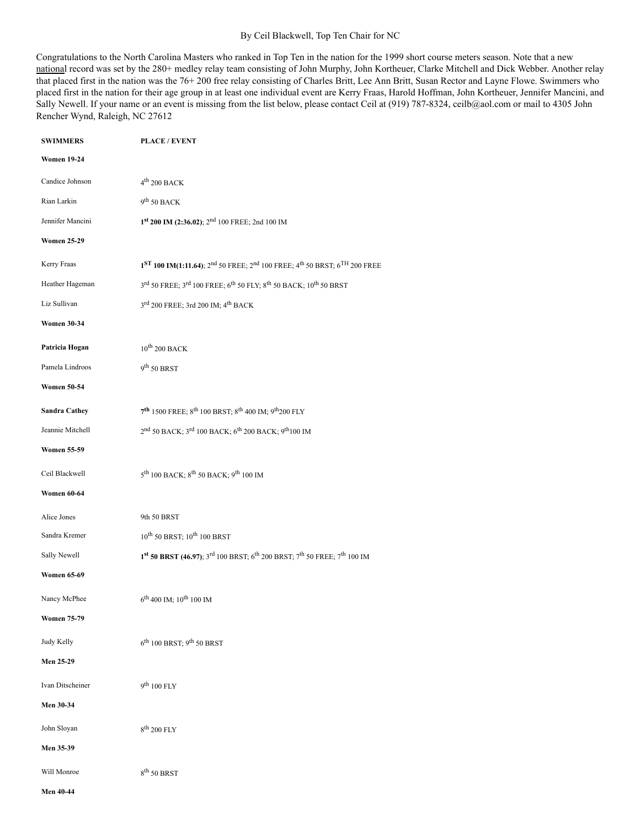#### By Ceil Blackwell, Top Ten Chair for NC

Congratulations to the North Carolina Masters who ranked in Top Ten in the nation for the 1999 short course meters season. Note that a new national record was set by the 280+ medley relay team consisting of John Murphy, John Kortheuer, Clarke Mitchell and Dick Webber. Another relay that placed first in the nation was the 76+ 200 free relay consisting of Charles Britt, Lee Ann Britt, Susan Rector and Layne Flowe. Swimmers who placed first in the nation for their age group in at least one individual event are Kerry Fraas, Harold Hoffman, John Kortheuer, Jennifer Mancini, and Sally Newell. If your name or an event is missing from the list below, please contact Ceil at (919) 787-8324, ceilb@aol.com or mail to 4305 John Rencher Wynd, Raleigh, NC 27612

| <b>SWIMMERS</b>      | <b>PLACE / EVENT</b>                                                                                                                 |
|----------------------|--------------------------------------------------------------------------------------------------------------------------------------|
| <b>Women 19-24</b>   |                                                                                                                                      |
| Candice Johnson      | $4^{\mbox{th}}$ 200 BACK                                                                                                             |
| Rian Larkin          | $9^{th}$ 50 BACK                                                                                                                     |
| Jennifer Mancini     | 1st 200 IM (2:36.02); 2 <sup>nd</sup> 100 FREE; 2nd 100 IM                                                                           |
| <b>Women 25-29</b>   |                                                                                                                                      |
| Kerry Fraas          | $1ST$ 100 IM(1:11.64); $2nd$ 50 FREE; $2nd$ 100 FREE; $4th$ 50 BRST; $6TH$ 200 FREE                                                  |
| Heather Hageman      | 3rd 50 FREE; 3rd 100 FREE; 6th 50 FLY; 8th 50 BACK; 10th 50 BRST                                                                     |
| Liz Sullivan         | 3rd 200 FREE; 3rd 200 IM; 4 <sup>th</sup> BACK                                                                                       |
| <b>Women 30-34</b>   |                                                                                                                                      |
| Patricia Hogan       | $10^{\rm th}$ 200 BACK                                                                                                               |
| Pamela Lindroos      | 9 <sup>th</sup> 50 BRST                                                                                                              |
| <b>Women 50-54</b>   |                                                                                                                                      |
| <b>Sandra Cathey</b> | 7 <sup>th</sup> 1500 FREE; 8 <sup>th</sup> 100 BRST; 8 <sup>th</sup> 400 IM; 9 <sup>th</sup> 200 FLY                                 |
| Jeannie Mitchell     | 2nd 50 BACK; 3rd 100 BACK; 6 <sup>th</sup> 200 BACK; 9 <sup>th</sup> 100 IM                                                          |
| <b>Women 55-59</b>   |                                                                                                                                      |
| Ceil Blackwell       | 5 <sup>th</sup> 100 BACK; 8 <sup>th</sup> 50 BACK; 9 <sup>th</sup> 100 IM                                                            |
| <b>Women 60-64</b>   |                                                                                                                                      |
| Alice Jones          | 9th 50 BRST                                                                                                                          |
| Sandra Kremer        | $10^{\rm th}$ 50 BRST; $10^{\rm th}$ 100 BRST                                                                                        |
| Sally Newell         | $1^{\text{st}}$ 50 BRST (46.97); $3^{\text{rd}}$ 100 BRST; $6^{\text{th}}$ 200 BRST; $7^{\text{th}}$ 50 FREE; $7^{\text{th}}$ 100 IM |
| <b>Women 65-69</b>   |                                                                                                                                      |
| Nancy McPhee         | $6^{\text{th}}$ 400 IM; $10^{\text{th}}$ 100 IM                                                                                      |
| <b>Women 75-79</b>   |                                                                                                                                      |
| Judy Kelly           | 6 <sup>th</sup> 100 BRST; 9 <sup>th</sup> 50 BRST                                                                                    |
| Men 25-29            |                                                                                                                                      |
| Ivan Ditscheiner     | $9^{th}$ 100 FLY                                                                                                                     |
| Men 30-34            |                                                                                                                                      |
| John Sloyan          | $8^{th}$ 200 FLY                                                                                                                     |
| Men 35-39            |                                                                                                                                      |
| Will Monroe          | $8^{\rm th}$ 50 BRST                                                                                                                 |

**Men 40-44**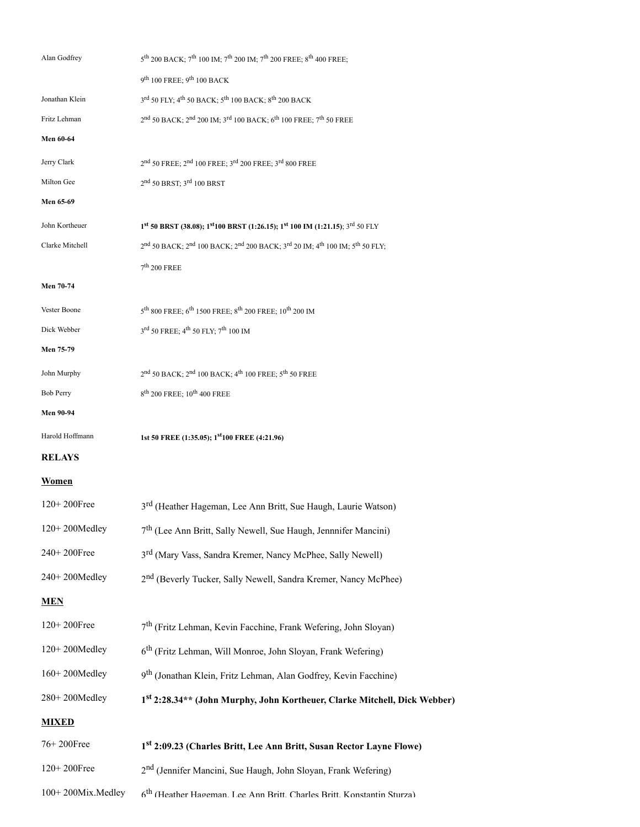| Alan Godfrey      | $5^{\text{th}}$ 200 BACK; $7^{\text{th}}$ 100 IM; $7^{\text{th}}$ 200 IM; $7^{\text{th}}$ 200 FREE; $8^{\text{th}}$ 400 FREE; |
|-------------------|-------------------------------------------------------------------------------------------------------------------------------|
|                   | 9th 100 FREE; 9th 100 BACK                                                                                                    |
| Jonathan Klein    | 3rd 50 FLY; 4 <sup>th</sup> 50 BACK; 5 <sup>th</sup> 100 BACK; 8 <sup>th</sup> 200 BACK                                       |
| Fritz Lehman      | 2nd 50 BACK; 2nd 200 IM; 3 <sup>rd</sup> 100 BACK; 6 <sup>th</sup> 100 FREE; 7 <sup>th</sup> 50 FREE                          |
| <b>Men 60-64</b>  |                                                                                                                               |
| Jerry Clark       | 2nd 50 FREE; 2nd 100 FREE; 3rd 200 FREE; 3rd 800 FREE                                                                         |
| Milton Gee        | $2^{\rm nd}$ 50 BRST; $3^{\rm rd}$ 100 BRST                                                                                   |
| Men 65-69         |                                                                                                                               |
| John Kortheuer    | $1^{st}$ 50 BRST (38.08); $1^{st}$ 100 BRST (1:26.15); $1^{st}$ 100 IM (1:21.15); $3^{rd}$ 50 FLY                             |
| Clarke Mitchell   | 2nd 50 BACK; 2nd 100 BACK; 2nd 200 BACK; 3rd 20 IM; 4 <sup>th</sup> 100 IM; 5 <sup>th</sup> 50 FLY;                           |
|                   | $7^{\rm th}$ 200 FREE                                                                                                         |
| Men 70-74         |                                                                                                                               |
| Vester Boone      | 5 <sup>th</sup> 800 FREE; 6 <sup>th</sup> 1500 FREE; 8 <sup>th</sup> 200 FREE; 10 <sup>th</sup> 200 IM                        |
| Dick Webber       | 3rd 50 FREE; 4 <sup>th</sup> 50 FLY; 7 <sup>th</sup> 100 IM                                                                   |
| Men 75-79         |                                                                                                                               |
| John Murphy       | 2nd 50 BACK; 2nd 100 BACK; 4 <sup>th</sup> 100 FREE; 5 <sup>th</sup> 50 FREE                                                  |
| <b>Bob Perry</b>  | $8^{\text{th}}$ 200 FREE; $10^{\text{th}}$ 400 FREE                                                                           |
| <b>Men 90-94</b>  |                                                                                                                               |
| Harold Hoffmann   | 1st 50 FREE (1:35.05); 1 <sup>st</sup> 100 FREE (4:21.96)                                                                     |
| <b>RELAYS</b>     |                                                                                                                               |
| <b>Women</b>      |                                                                                                                               |
| 120+200Free       | 3 <sup>rd</sup> (Heather Hageman, Lee Ann Britt, Sue Haugh, Laurie Watson)                                                    |
| 120+200Medley     | 7 <sup>th</sup> (Lee Ann Britt, Sally Newell, Sue Haugh, Jennnifer Mancini)                                                   |
| 240+200Free       | 3 <sup>rd</sup> (Mary Vass, Sandra Kremer, Nancy McPhee, Sally Newell)                                                        |
| 240+200Medley     | 2 <sup>nd</sup> (Beverly Tucker, Sally Newell, Sandra Kremer, Nancy McPhee)                                                   |
| <b>MEN</b>        |                                                                                                                               |
| 120+200Free       | 7 <sup>th</sup> (Fritz Lehman, Kevin Facchine, Frank Wefering, John Sloyan)                                                   |
| 120+200Medley     | 6 <sup>th</sup> (Fritz Lehman, Will Monroe, John Sloyan, Frank Wefering)                                                      |
| 160+200Medley     | 9 <sup>th</sup> (Jonathan Klein, Fritz Lehman, Alan Godfrey, Kevin Facchine)                                                  |
| 280+200Medley     | 1st 2:28.34** (John Murphy, John Kortheuer, Clarke Mitchell, Dick Webber)                                                     |
| <b>MIXED</b>      |                                                                                                                               |
| 76+200Free        | 1st 2:09.23 (Charles Britt, Lee Ann Britt, Susan Rector Layne Flowe)                                                          |
| 120+200Free       | 2 <sup>nd</sup> (Jennifer Mancini, Sue Haugh, John Sloyan, Frank Wefering)                                                    |
| 100+200Mix.Medley | 6 <sup>th</sup> (Heather Hageman Lee Ann Britt Charles Britt Konstantin Sturza)                                               |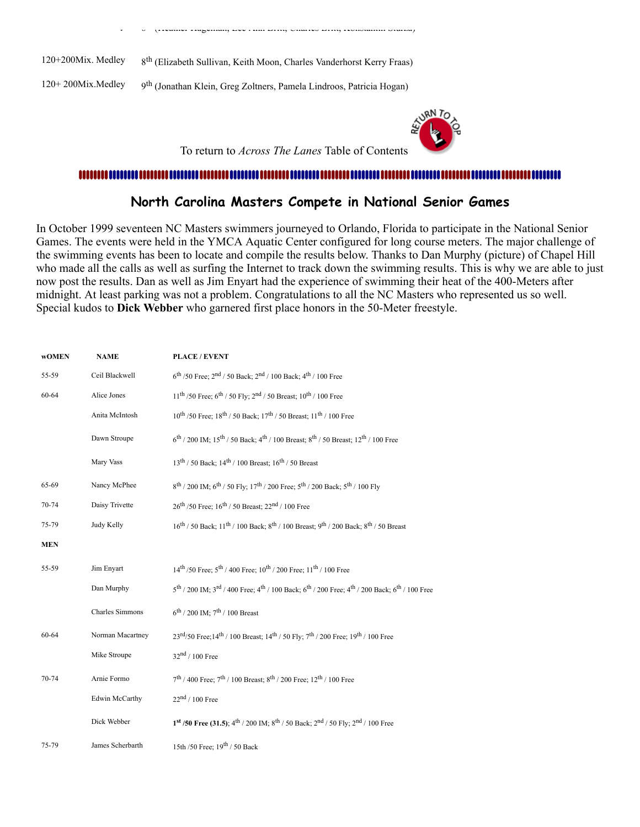| $120+200$ Mix. Medley | 8 <sup>th</sup> (Elizabeth Sullivan, Keith Moon, Charles Vanderhorst Kerry Fraas) |
|-----------------------|-----------------------------------------------------------------------------------|
| $120+200$ Mix.Medley  | 9 <sup>th</sup> (Jonathan Klein, Greg Zoltners, Pamela Lindroos, Patricia Hogan)  |

y 6 (Heather Hageman, Lee Ann Britt, Charles Britt, Konstantin Sturza)



To return to *Across The Lanes* Table of Contents

### <span id="page-11-0"></span>**North Carolina Masters Compete in National Senior Games**

In October 1999 seventeen NC Masters swimmers journeyed to Orlando, Florida to participate in the National Senior Games. The events were held in the YMCA Aquatic Center configured for long course meters. The major challenge of the swimming events has been to locate and compile the results below. Thanks to Dan Murphy (picture) of Chapel Hill who made all the calls as well as surfing the Internet to track down the swimming results. This is why we are able to just now post the results. Dan as well as Jim Enyart had the experience of swimming their heat of the 400-Meters after midnight. At least parking was not a problem. Congratulations to all the NC Masters who represented us so well. Special kudos to **Dick Webber** who garnered first place honors in the 50-Meter freestyle.

| <b>wOMEN</b> | <b>NAME</b>      | <b>PLACE / EVENT</b>                                                                                                                                                 |
|--------------|------------------|----------------------------------------------------------------------------------------------------------------------------------------------------------------------|
| 55-59        | Ceil Blackwell   | $6^{th}$ /50 Free; $2^{nd}$ / 50 Back; $2^{nd}$ / 100 Back; $4^{th}$ / 100 Free                                                                                      |
| 60-64        | Alice Jones      | $11^{th}$ /50 Free; 6 <sup>th</sup> / 50 Fly; 2 <sup>nd</sup> / 50 Breast; $10^{th}$ / 100 Free                                                                      |
|              | Anita McIntosh   | $10^{th}$ /50 Free; $18^{th}$ / 50 Back; $17^{th}$ / 50 Breast; $11^{th}$ / 100 Free                                                                                 |
|              | Dawn Stroupe     | $6^{\text{th}}$ / 200 IM; 15 <sup>th</sup> / 50 Back; 4 <sup>th</sup> / 100 Breast; 8 <sup>th</sup> / 50 Breast; 12 <sup>th</sup> / 100 Free                         |
|              | Mary Vass        | $13^{th}$ / 50 Back; $14^{th}$ / 100 Breast; $16^{th}$ / 50 Breast                                                                                                   |
| 65-69        | Nancy McPhee     | $8^{\text{th}}$ / 200 IM; $6^{\text{th}}$ / 50 Fly; $17^{\text{th}}$ / 200 Free; $5^{\text{th}}$ / 200 Back; $5^{\text{th}}$ / 100 Fly                               |
| 70-74        | Daisy Trivette   | $26^{\text{th}}$ /50 Free; $16^{\text{th}}$ /50 Breast; $22^{\text{nd}}$ /100 Free                                                                                   |
| 75-79        | Judy Kelly       | $16^{th}$ / 50 Back; $11^{th}$ / 100 Back; $8^{th}$ / 100 Breast; $9^{th}$ / 200 Back; $8^{th}$ / 50 Breast                                                          |
| <b>MEN</b>   |                  |                                                                                                                                                                      |
| 55-59        | Jim Enyart       | $14^{\text{th}}$ /50 Free; $5^{\text{th}}$ /400 Free; $10^{\text{th}}$ /200 Free; $11^{\text{th}}$ /100 Free                                                         |
|              | Dan Murphy       | 5 <sup>th</sup> / 200 IM; 3 <sup>rd</sup> / 400 Free; 4 <sup>th</sup> / 100 Back; 6 <sup>th</sup> / 200 Free; 4 <sup>th</sup> / 200 Back; 6 <sup>th</sup> / 100 Free |
|              | Charles Simmons  | $6^{th}$ / 200 IM; $7^{th}$ / 100 Breast                                                                                                                             |
| 60-64        | Norman Macartney | $23^{\text{rd}}/50$ Free; $14^{\text{th}}$ / 100 Breast; $14^{\text{th}}$ / 50 Fly; $7^{\text{th}}$ / 200 Free; $19^{\text{th}}$ / 100 Free                          |
|              | Mike Stroupe     | $32nd / 100$ Free                                                                                                                                                    |
| 70-74        | Arnie Formo      | $7^{\text{th}}$ / 400 Free; $7^{\text{th}}$ / 100 Breast; $8^{\text{th}}$ / 200 Free; 12 <sup>th</sup> / 100 Free                                                    |
|              | Edwin McCarthy   | $22nd / 100$ Free                                                                                                                                                    |
|              | Dick Webber      | $1^{st}$ /50 Free (31.5); $4^{th}$ / 200 IM; $8^{th}$ / 50 Back; $2^{nd}$ / 50 Fly; $2^{nd}$ / 100 Free                                                              |
| 75-79        | James Scherbarth | 15th /50 Free; 19 <sup>th</sup> / 50 Back                                                                                                                            |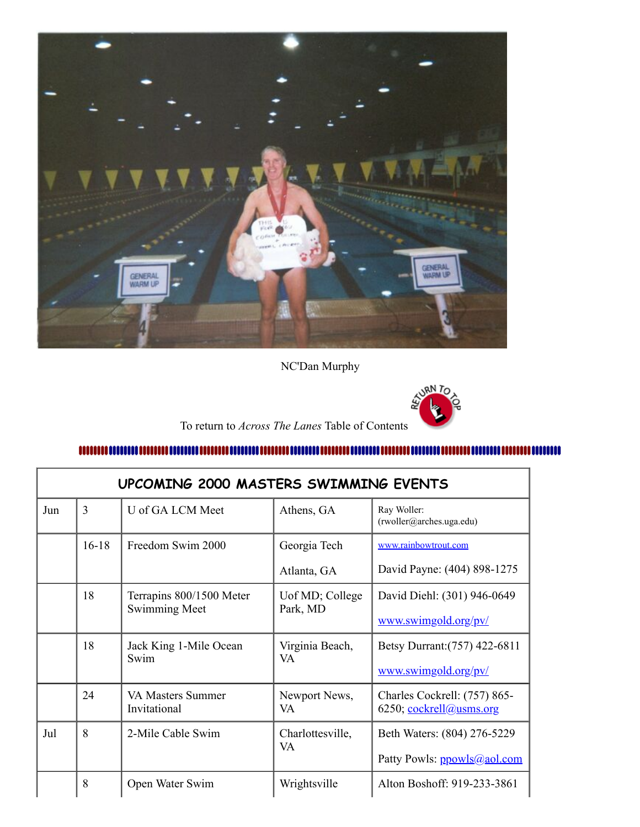

NC'Dan Murphy



To return to *Across The Lanes* Table of Contents

<span id="page-12-0"></span>numunum 

|     | UPCOMING 2000 MASTERS SWIMMING EVENTS |                                   |                        |                                                         |  |
|-----|---------------------------------------|-----------------------------------|------------------------|---------------------------------------------------------|--|
| Jun | 3                                     | U of GA LCM Meet                  | Athens, GA             | Ray Woller:<br>(rwoller@arches.uga.edu)                 |  |
|     | $16 - 18$                             | Freedom Swim 2000                 | Georgia Tech           | www.rainbowtrout.com                                    |  |
|     |                                       |                                   | Atlanta, GA            | David Payne: (404) 898-1275                             |  |
|     | 18                                    | Terrapins 800/1500 Meter          | Uof MD; College        | David Diehl: (301) 946-0649                             |  |
|     |                                       | <b>Swimming Meet</b>              | Park, MD               | www.swimgold.org/pv/                                    |  |
|     | 18                                    | Jack King 1-Mile Ocean<br>Swim    | Virginia Beach,<br>VA  | Betsy Durrant: (757) 422-6811                           |  |
|     |                                       |                                   |                        | www.swimgold.org/pv/                                    |  |
|     | 24                                    | VA Masters Summer<br>Invitational | Newport News,<br>VA    | Charles Cockrell: (757) 865-<br>6250; cockrell@usms.org |  |
| Jul | 8                                     | 2-Mile Cable Swim                 | Charlottesville,<br>VA | Beth Waters: (804) 276-5229                             |  |
|     |                                       |                                   |                        | Patty Powls: ppowls@aol.com                             |  |
|     | 8                                     | Open Water Swim                   | Wrightsville           | Alton Boshoff: 919-233-3861                             |  |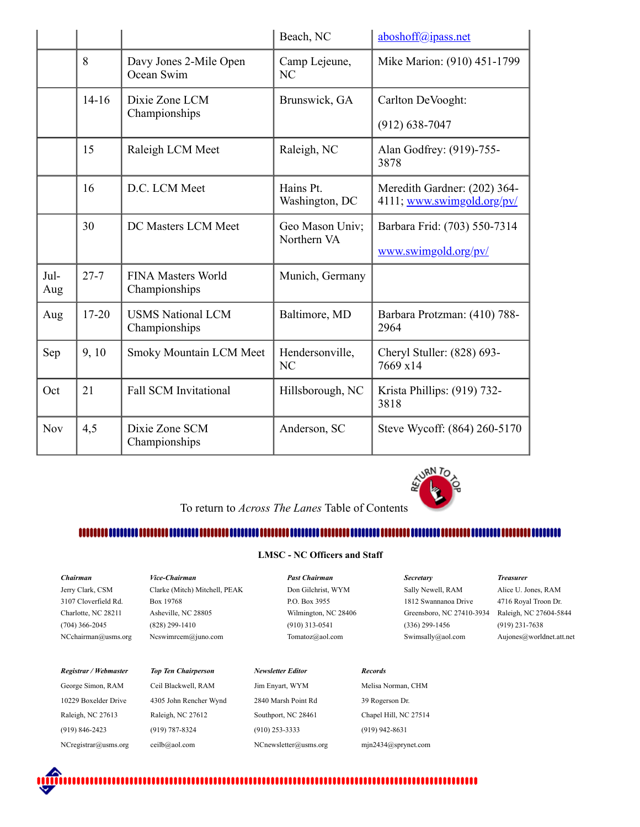|             |           |                                            | Beach, NC                       | aboshoff@ipass.net                                         |
|-------------|-----------|--------------------------------------------|---------------------------------|------------------------------------------------------------|
|             | 8         | Davy Jones 2-Mile Open<br>Ocean Swim       | Camp Lejeune,<br>N <sub>C</sub> | Mike Marion: (910) 451-1799                                |
|             | $14-16$   | Dixie Zone LCM<br>Championships            | Brunswick, GA                   | Carlton DeVooght:<br>$(912) 638 - 7047$                    |
|             | 15        | Raleigh LCM Meet                           | Raleigh, NC                     | Alan Godfrey: (919)-755-<br>3878                           |
|             | 16        | D.C. LCM Meet                              | Hains Pt.<br>Washington, DC     | Meredith Gardner: (202) 364-<br>4111; www.swimgold.org/pv/ |
|             | 30        | DC Masters LCM Meet                        | Geo Mason Univ;<br>Northern VA  | Barbara Frid: (703) 550-7314<br>www.swimgold.org/pv/       |
| Jul-<br>Aug | $27 - 7$  | <b>FINA Masters World</b><br>Championships | Munich, Germany                 |                                                            |
| Aug         | $17 - 20$ | <b>USMS National LCM</b><br>Championships  | Baltimore, MD                   | Barbara Protzman: (410) 788-<br>2964                       |
| Sep         | 9,10      | Smoky Mountain LCM Meet                    | Hendersonville,<br>NC           | Cheryl Stuller: (828) 693-<br>7669 x14                     |
| Oct         | 21        | <b>Fall SCM Invitational</b>               | Hillsborough, NC                | Krista Phillips: (919) 732-<br>3818                        |
| Nov         | 4,5       | Dixie Zone SCM<br>Championships            | Anderson, SC                    | Steve Wycoff: (864) 260-5170                               |



To return to *Across The Lanes* Table of Contents

### 

#### <span id="page-13-0"></span>**LMSC - NC Officers and Staff**

| Chairman                | <i><b>Vice-Chairman</b></i>   | <b>Past Chairman</b>     | <b>Secretary</b>                 | <b>Treasurer</b>         |
|-------------------------|-------------------------------|--------------------------|----------------------------------|--------------------------|
| Jerry Clark, CSM        | Clarke (Mitch) Mitchell, PEAK | Don Gilchrist, WYM       | Sally Newell, RAM                | Alice U. Jones, RAM      |
| 3107 Cloverfield Rd.    | Box 19768                     | P.O. Box 3955            | 1812 Swannanoa Drive             | 4716 Royal Troon Dr.     |
| Charlotte, NC 28211     | Asheville, NC 28805           | Wilmington, NC 28406     | Greensboro, NC 27410-3934        | Raleigh, NC 27604-5844   |
| $(704)$ 366-2045        | $(828)$ 299-1410              | $(910)$ 313-0541         | $(336)$ 299-1456                 | $(919)$ 231-7638         |
| NCehairman@usms.org     | Ncswimrcem@juno.com           | Tomatoz@aol.com          | Swimsally@aol.com                | Aujones@worldnet.att.net |
|                         |                               |                          |                                  |                          |
|                         |                               |                          |                                  |                          |
| Registrar / Webmaster   | <b>Top Ten Chairperson</b>    | <b>Newsletter Editor</b> | <b>Records</b>                   |                          |
|                         |                               |                          |                                  |                          |
| George Simon, RAM       | Ceil Blackwell, RAM           | Jim Enyart, WYM          | Melisa Norman, CHM               |                          |
| 10229 Boxelder Drive    | 4305 John Rencher Wynd        | 2840 Marsh Point Rd      | 39 Rogerson Dr.                  |                          |
| Raleigh, NC 27613       | Raleigh, NC 27612             | Southport, NC 28461      | Chapel Hill, NC 27514            |                          |
| $(919) 846 - 2423$      | $(919) 787 - 8324$            | $(910)$ 253-3333         | $(919)$ 942-8631                 |                          |
| $NC$ registrar@usms.org | ceilb@aol.com                 | $N$ Cnewsletter@usms.org | $min2434$ <i>(a)</i> sprynet.com |                          |